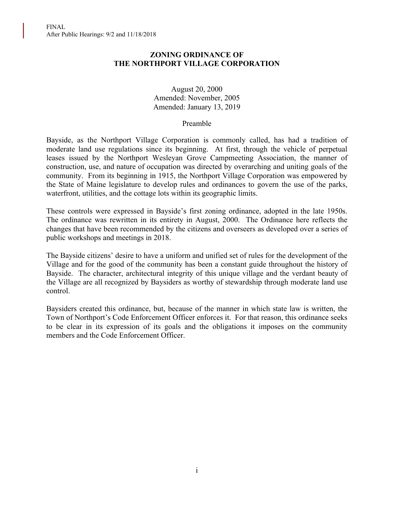### **ZONING ORDINANCE OF THE NORTHPORT VILLAGE CORPORATION**

August 20, 2000 Amended: November, 2005 Amended: January 13, 2019

#### Preamble

Bayside, as the Northport Village Corporation is commonly called, has had a tradition of moderate land use regulations since its beginning. At first, through the vehicle of perpetual leases issued by the Northport Wesleyan Grove Campmeeting Association, the manner of construction, use, and nature of occupation was directed by overarching and uniting goals of the community. From its beginning in 1915, the Northport Village Corporation was empowered by the State of Maine legislature to develop rules and ordinances to govern the use of the parks, waterfront, utilities, and the cottage lots within its geographic limits.

These controls were expressed in Bayside's first zoning ordinance, adopted in the late 1950s. The ordinance was rewritten in its entirety in August, 2000. The Ordinance here reflects the changes that have been recommended by the citizens and overseers as developed over a series of public workshops and meetings in 2018.

The Bayside citizens' desire to have a uniform and unified set of rules for the development of the Village and for the good of the community has been a constant guide throughout the history of Bayside. The character, architectural integrity of this unique village and the verdant beauty of the Village are all recognized by Baysiders as worthy of stewardship through moderate land use control.

Baysiders created this ordinance, but, because of the manner in which state law is written, the Town of Northport's Code Enforcement Officer enforces it. For that reason, this ordinance seeks to be clear in its expression of its goals and the obligations it imposes on the community members and the Code Enforcement Officer.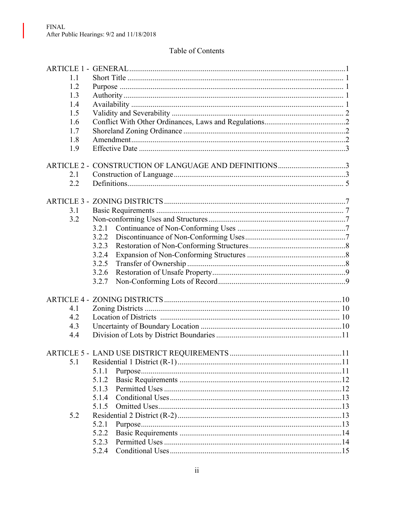$\overline{\phantom{a}}$ 

# Table of Contents

| 1.1 |                                                       |  |
|-----|-------------------------------------------------------|--|
| 1.2 |                                                       |  |
| 1.3 |                                                       |  |
| 1.4 |                                                       |  |
| 1.5 |                                                       |  |
| 1.6 |                                                       |  |
| 1.7 |                                                       |  |
| 1.8 |                                                       |  |
| 1.9 |                                                       |  |
|     |                                                       |  |
|     | ARTICLE 2 - CONSTRUCTION OF LANGUAGE AND DEFINITIONS3 |  |
| 2.1 |                                                       |  |
| 2.2 |                                                       |  |
|     |                                                       |  |
|     |                                                       |  |
| 3.1 |                                                       |  |
| 3.2 |                                                       |  |
|     | 3.2.1                                                 |  |
|     | 3.2.2                                                 |  |
|     | 3.2.3                                                 |  |
|     | 3.2.4                                                 |  |
|     | 3.2.5                                                 |  |
|     | 3.2.6                                                 |  |
|     | 3.2.7                                                 |  |
|     |                                                       |  |
| 4.1 |                                                       |  |
| 4.2 |                                                       |  |
| 4.3 |                                                       |  |
|     |                                                       |  |
| 4.4 |                                                       |  |
|     | .11                                                   |  |
| 5.1 |                                                       |  |
|     | 5.1.1                                                 |  |
|     | 5.1.2                                                 |  |
|     | 5.1.3                                                 |  |
|     | 5.1.4                                                 |  |
|     | 5.1.5                                                 |  |
| 5.2 |                                                       |  |
|     | 5.2.1                                                 |  |
|     | 5.2.2                                                 |  |
|     | 5.2.3                                                 |  |
|     |                                                       |  |
|     |                                                       |  |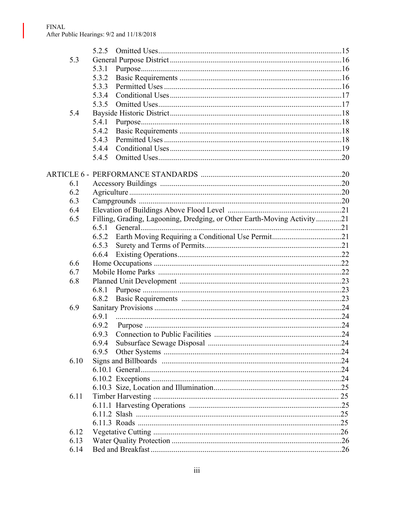$\overline{\phantom{a}}$ 

|      | 5.2.5                                                                   |  |
|------|-------------------------------------------------------------------------|--|
| 5.3  |                                                                         |  |
|      | 5.3.1                                                                   |  |
|      | 5.3.2                                                                   |  |
|      | 5.3.3                                                                   |  |
|      | 5.3.4                                                                   |  |
|      | 5.3.5                                                                   |  |
| 5.4  |                                                                         |  |
|      | 5.4.1                                                                   |  |
|      | 5.4.2                                                                   |  |
|      | 5.4.3                                                                   |  |
|      | 5.4.4                                                                   |  |
|      | 5.4.5                                                                   |  |
|      |                                                                         |  |
|      |                                                                         |  |
| 6.1  |                                                                         |  |
| 6.2  |                                                                         |  |
| 6.3  |                                                                         |  |
| 6.4  |                                                                         |  |
| 6.5  | Filling, Grading, Lagooning, Dredging, or Other Earth-Moving Activity21 |  |
|      | 6.5.1                                                                   |  |
|      | 6.5.2                                                                   |  |
|      | 6.5.3                                                                   |  |
|      | 6.6.4                                                                   |  |
| 6.6  |                                                                         |  |
| 6.7  |                                                                         |  |
| 6.8  |                                                                         |  |
|      | 6.8.1                                                                   |  |
|      | 6.8.2                                                                   |  |
| 6.9  |                                                                         |  |
|      | 6.9.1                                                                   |  |
|      | 6.9.2                                                                   |  |
|      | 6.9.3                                                                   |  |
|      | 6.9.4                                                                   |  |
|      | 6.9.5                                                                   |  |
| 6.10 |                                                                         |  |
|      |                                                                         |  |
|      |                                                                         |  |
|      |                                                                         |  |
| 6.11 |                                                                         |  |
|      |                                                                         |  |
|      |                                                                         |  |
|      |                                                                         |  |
| 6.12 |                                                                         |  |
| 6.13 |                                                                         |  |
|      |                                                                         |  |
| 6.14 |                                                                         |  |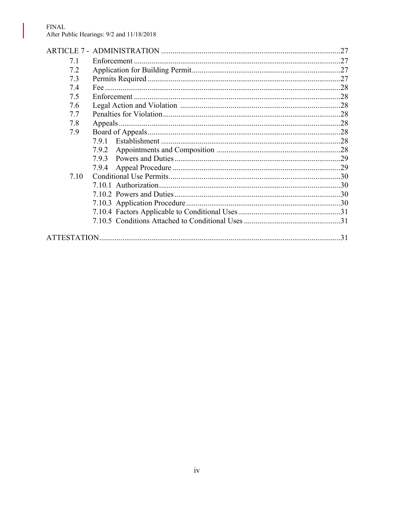#### ${\rm FINAL}$ After Public Hearings: 9/2 and 11/18/2018

 $\overline{\phantom{a}}$ 

|      |              | .27 |
|------|--------------|-----|
| 7.1  | Enforcement. | .27 |
| 7.2  |              |     |
| 7.3  |              |     |
| 7.4  |              |     |
| 7.5  |              |     |
| 7.6  |              |     |
| 7.7  |              |     |
| 7.8  |              |     |
| 7.9  |              |     |
|      | 791          |     |
|      |              |     |
|      |              |     |
|      | 7.9.4        |     |
| 7.10 |              |     |
|      |              |     |
|      |              |     |
|      |              |     |
|      |              |     |
|      |              |     |
|      |              |     |
|      |              | 31  |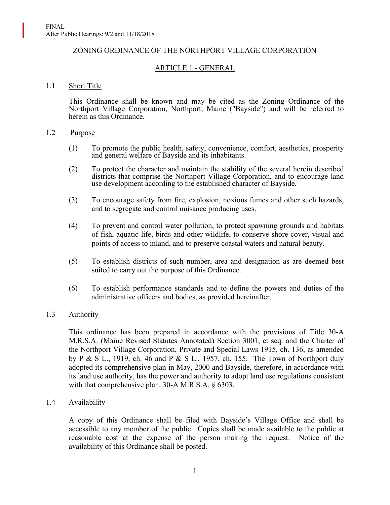#### ZONING ORDINANCE OF THE NORTHPORT VILLAGE CORPORATION

# ARTICLE 1 - GENERAL

#### 1.1 Short Title

This Ordinance shall be known and may be cited as the Zoning Ordinance of the Northport Village Corporation, Northport, Maine ("Bayside") and will be referred to herein as this Ordinance.

#### 1.2 Purpose

- (1) To promote the public health, safety, convenience, comfort, aesthetics, prosperity and general welfare of Bayside and its inhabitants.
- (2) To protect the character and maintain the stability of the several herein described districts that comprise the Northport Village Corporation, and to encourage land use development according to the established character of Bayside.
- (3) To encourage safety from fire, explosion, noxious fumes and other such hazards, and to segregate and control nuisance producing uses.
- (4) To prevent and control water pollution, to protect spawning grounds and habitats of fish, aquatic life, birds and other wildlife, to conserve shore cover, visual and points of access to inland, and to preserve coastal waters and natural beauty.
- (5) To establish districts of such number, area and designation as are deemed best suited to carry out the purpose of this Ordinance.
- (6) To establish performance standards and to define the powers and duties of the administrative officers and bodies, as provided hereinafter.

#### 1.3 Authority

This ordinance has been prepared in accordance with the provisions of Title 30-A M.R.S.A. (Maine Revised Statutes Annotated) Section 3001, et seq. and the Charter of the Northport Village Corporation, Private and Special Laws 1915, ch. 136, as amended by P & S L., 1919, ch. 46 and P & S L., 1957, ch. 155. The Town of Northport duly adopted its comprehensive plan in May, 2000 and Bayside, therefore, in accordance with its land use authority, has the power and authority to adopt land use regulations consistent with that comprehensive plan. 30-A M.R.S.A. § 6303.

#### 1.4 Availability

A copy of this Ordinance shall be filed with Bayside's Village Office and shall be accessible to any member of the public. Copies shall be made available to the public at reasonable cost at the expense of the person making the request. Notice of the availability of this Ordinance shall be posted.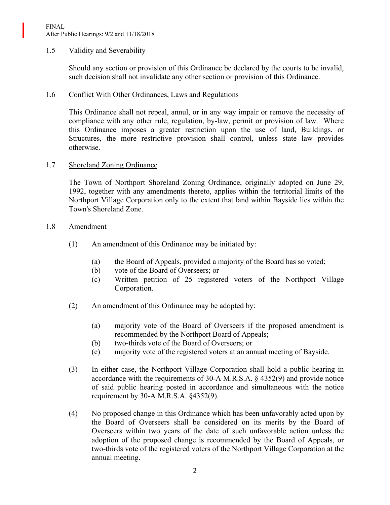### 1.5 Validity and Severability

Should any section or provision of this Ordinance be declared by the courts to be invalid, such decision shall not invalidate any other section or provision of this Ordinance.

#### 1.6 Conflict With Other Ordinances, Laws and Regulations

This Ordinance shall not repeal, annul, or in any way impair or remove the necessity of compliance with any other rule, regulation, by-law, permit or provision of law. Where this Ordinance imposes a greater restriction upon the use of land, Buildings, or Structures, the more restrictive provision shall control, unless state law provides otherwise.

#### 1.7 Shoreland Zoning Ordinance

The Town of Northport Shoreland Zoning Ordinance, originally adopted on June 29, 1992, together with any amendments thereto, applies within the territorial limits of the Northport Village Corporation only to the extent that land within Bayside lies within the Town's Shoreland Zone.

#### 1.8 Amendment

- (1) An amendment of this Ordinance may be initiated by:
	- (a) the Board of Appeals, provided a majority of the Board has so voted;
	- (b) vote of the Board of Overseers; or
	- (c) Written petition of 25 registered voters of the Northport Village Corporation.
- (2) An amendment of this Ordinance may be adopted by:
	- (a) majority vote of the Board of Overseers if the proposed amendment is recommended by the Northport Board of Appeals;
	- (b) two-thirds vote of the Board of Overseers; or
	- (c) majority vote of the registered voters at an annual meeting of Bayside.
- (3) In either case, the Northport Village Corporation shall hold a public hearing in accordance with the requirements of 30-A M.R.S.A. § 4352(9) and provide notice of said public hearing posted in accordance and simultaneous with the notice requirement by 30-A M.R.S.A. §4352(9).
- (4) No proposed change in this Ordinance which has been unfavorably acted upon by the Board of Overseers shall be considered on its merits by the Board of Overseers within two years of the date of such unfavorable action unless the adoption of the proposed change is recommended by the Board of Appeals, or two-thirds vote of the registered voters of the Northport Village Corporation at the annual meeting.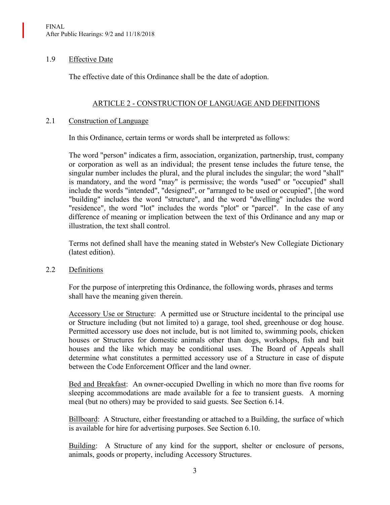### 1.9 Effective Date

The effective date of this Ordinance shall be the date of adoption.

## ARTICLE 2 - CONSTRUCTION OF LANGUAGE AND DEFINITIONS

### 2.1 Construction of Language

In this Ordinance, certain terms or words shall be interpreted as follows:

The word "person" indicates a firm, association, organization, partnership, trust, company or corporation as well as an individual; the present tense includes the future tense, the singular number includes the plural, and the plural includes the singular; the word "shall" is mandatory, and the word "may" is permissive; the words "used" or "occupied" shall include the words "intended", "designed", or "arranged to be used or occupied", [the word "building" includes the word "structure", and the word "dwelling" includes the word "residence", the word "lot" includes the words "plot" or "parcel". In the case of any difference of meaning or implication between the text of this Ordinance and any map or illustration, the text shall control.

Terms not defined shall have the meaning stated in Webster's New Collegiate Dictionary (latest edition).

## 2.2 Definitions

For the purpose of interpreting this Ordinance, the following words, phrases and terms shall have the meaning given therein.

Accessory Use or Structure: A permitted use or Structure incidental to the principal use or Structure including (but not limited to) a garage, tool shed, greenhouse or dog house. Permitted accessory use does not include, but is not limited to, swimming pools, chicken houses or Structures for domestic animals other than dogs, workshops, fish and bait houses and the like which may be conditional uses. The Board of Appeals shall determine what constitutes a permitted accessory use of a Structure in case of dispute between the Code Enforcement Officer and the land owner.

Bed and Breakfast: An owner-occupied Dwelling in which no more than five rooms for sleeping accommodations are made available for a fee to transient guests. A morning meal (but no others) may be provided to said guests. See Section 6.14.

Billboard: A Structure, either freestanding or attached to a Building, the surface of which is available for hire for advertising purposes. See Section 6.10.

Building: A Structure of any kind for the support, shelter or enclosure of persons, animals, goods or property, including Accessory Structures.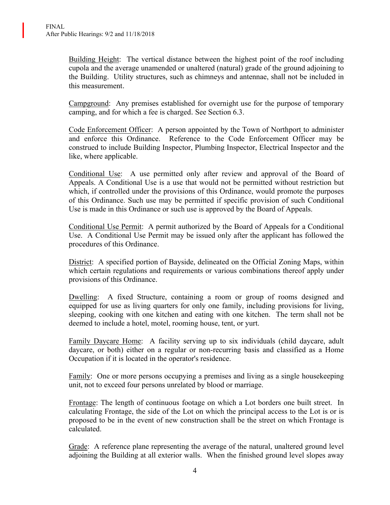Building Height: The vertical distance between the highest point of the roof including cupola and the average unamended or unaltered (natural) grade of the ground adjoining to the Building. Utility structures, such as chimneys and antennae, shall not be included in this measurement.

Campground: Any premises established for overnight use for the purpose of temporary camping, and for which a fee is charged. See Section 6.3.

Code Enforcement Officer: A person appointed by the Town of Northport to administer and enforce this Ordinance. Reference to the Code Enforcement Officer may be construed to include Building Inspector, Plumbing Inspector, Electrical Inspector and the like, where applicable.

Conditional Use: A use permitted only after review and approval of the Board of Appeals. A Conditional Use is a use that would not be permitted without restriction but which, if controlled under the provisions of this Ordinance, would promote the purposes of this Ordinance. Such use may be permitted if specific provision of such Conditional Use is made in this Ordinance or such use is approved by the Board of Appeals.

Conditional Use Permit: A permit authorized by the Board of Appeals for a Conditional Use. A Conditional Use Permit may be issued only after the applicant has followed the procedures of this Ordinance.

District: A specified portion of Bayside, delineated on the Official Zoning Maps, within which certain regulations and requirements or various combinations thereof apply under provisions of this Ordinance.

Dwelling: A fixed Structure, containing a room or group of rooms designed and equipped for use as living quarters for only one family, including provisions for living, sleeping, cooking with one kitchen and eating with one kitchen. The term shall not be deemed to include a hotel, motel, rooming house, tent, or yurt.

Family Daycare Home: A facility serving up to six individuals (child daycare, adult daycare, or both) either on a regular or non-recurring basis and classified as a Home Occupation if it is located in the operator's residence.

Family: One or more persons occupying a premises and living as a single housekeeping unit, not to exceed four persons unrelated by blood or marriage.

Frontage: The length of continuous footage on which a Lot borders one built street. In calculating Frontage, the side of the Lot on which the principal access to the Lot is or is proposed to be in the event of new construction shall be the street on which Frontage is calculated.

Grade: A reference plane representing the average of the natural, unaltered ground level adjoining the Building at all exterior walls. When the finished ground level slopes away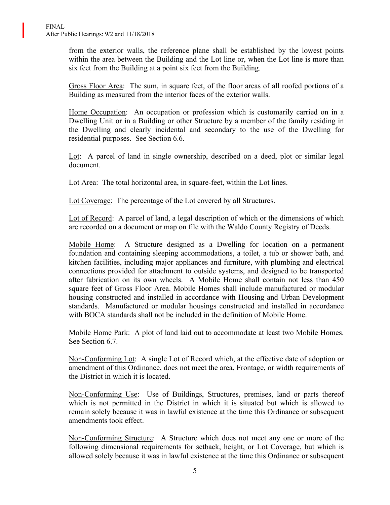from the exterior walls, the reference plane shall be established by the lowest points within the area between the Building and the Lot line or, when the Lot line is more than six feet from the Building at a point six feet from the Building.

Gross Floor Area: The sum, in square feet, of the floor areas of all roofed portions of a Building as measured from the interior faces of the exterior walls.

Home Occupation: An occupation or profession which is customarily carried on in a Dwelling Unit or in a Building or other Structure by a member of the family residing in the Dwelling and clearly incidental and secondary to the use of the Dwelling for residential purposes. See Section 6.6.

Lot: A parcel of land in single ownership, described on a deed, plot or similar legal document.

Lot Area: The total horizontal area, in square-feet, within the Lot lines.

Lot Coverage: The percentage of the Lot covered by all Structures.

Lot of Record: A parcel of land, a legal description of which or the dimensions of which are recorded on a document or map on file with the Waldo County Registry of Deeds.

Mobile Home: A Structure designed as a Dwelling for location on a permanent foundation and containing sleeping accommodations, a toilet, a tub or shower bath, and kitchen facilities, including major appliances and furniture, with plumbing and electrical connections provided for attachment to outside systems, and designed to be transported after fabrication on its own wheels. A Mobile Home shall contain not less than 450 square feet of Gross Floor Area. Mobile Homes shall include manufactured or modular housing constructed and installed in accordance with Housing and Urban Development standards. Manufactured or modular housings constructed and installed in accordance with BOCA standards shall not be included in the definition of Mobile Home.

Mobile Home Park: A plot of land laid out to accommodate at least two Mobile Homes. See Section 6.7.

Non-Conforming Lot: A single Lot of Record which, at the effective date of adoption or amendment of this Ordinance, does not meet the area, Frontage, or width requirements of the District in which it is located.

Non-Conforming Use: Use of Buildings, Structures, premises, land or parts thereof which is not permitted in the District in which it is situated but which is allowed to remain solely because it was in lawful existence at the time this Ordinance or subsequent amendments took effect.

Non-Conforming Structure: A Structure which does not meet any one or more of the following dimensional requirements for setback, height, or Lot Coverage, but which is allowed solely because it was in lawful existence at the time this Ordinance or subsequent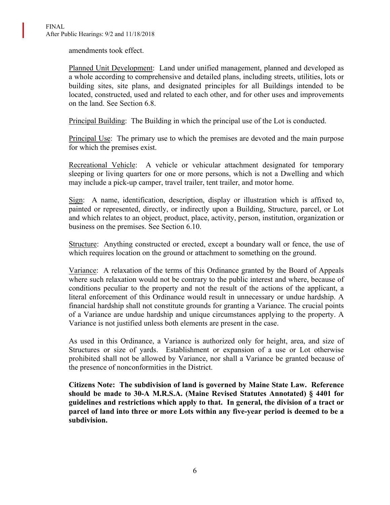amendments took effect.

Planned Unit Development: Land under unified management, planned and developed as a whole according to comprehensive and detailed plans, including streets, utilities, lots or building sites, site plans, and designated principles for all Buildings intended to be located, constructed, used and related to each other, and for other uses and improvements on the land. See Section 6.8.

Principal Building: The Building in which the principal use of the Lot is conducted.

Principal Use: The primary use to which the premises are devoted and the main purpose for which the premises exist.

Recreational Vehicle: A vehicle or vehicular attachment designated for temporary sleeping or living quarters for one or more persons, which is not a Dwelling and which may include a pick-up camper, travel trailer, tent trailer, and motor home.

Sign: A name, identification, description, display or illustration which is affixed to, painted or represented, directly, or indirectly upon a Building, Structure, parcel, or Lot and which relates to an object, product, place, activity, person, institution, organization or business on the premises. See Section 6.10.

Structure: Anything constructed or erected, except a boundary wall or fence, the use of which requires location on the ground or attachment to something on the ground.

Variance: A relaxation of the terms of this Ordinance granted by the Board of Appeals where such relaxation would not be contrary to the public interest and where, because of conditions peculiar to the property and not the result of the actions of the applicant, a literal enforcement of this Ordinance would result in unnecessary or undue hardship. A financial hardship shall not constitute grounds for granting a Variance. The crucial points of a Variance are undue hardship and unique circumstances applying to the property. A Variance is not justified unless both elements are present in the case.

As used in this Ordinance, a Variance is authorized only for height, area, and size of Structures or size of yards. Establishment or expansion of a use or Lot otherwise prohibited shall not be allowed by Variance, nor shall a Variance be granted because of the presence of nonconformities in the District.

**Citizens Note: The subdivision of land is governed by Maine State Law. Reference should be made to 30-A M.R.S.A. (Maine Revised Statutes Annotated) § 4401 for guidelines and restrictions which apply to that. In general, the division of a tract or parcel of land into three or more Lots within any five-year period is deemed to be a subdivision.**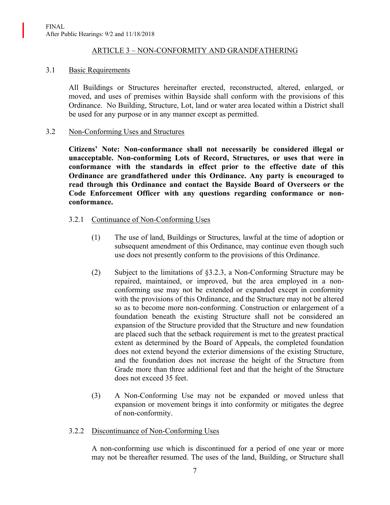### ARTICLE 3 – NON-CONFORMITY AND GRANDFATHERING

### 3.1 Basic Requirements

All Buildings or Structures hereinafter erected, reconstructed, altered, enlarged, or moved, and uses of premises within Bayside shall conform with the provisions of this Ordinance. No Building, Structure, Lot, land or water area located within a District shall be used for any purpose or in any manner except as permitted.

### 3.2 Non-Conforming Uses and Structures

**Citizens' Note: Non-conformance shall not necessarily be considered illegal or unacceptable. Non-conforming Lots of Record, Structures, or uses that were in conformance with the standards in effect prior to the effective date of this Ordinance are grandfathered under this Ordinance. Any party is encouraged to read through this Ordinance and contact the Bayside Board of Overseers or the Code Enforcement Officer with any questions regarding conformance or nonconformance.**

## 3.2.1 Continuance of Non-Conforming Uses

- (1) The use of land, Buildings or Structures, lawful at the time of adoption or subsequent amendment of this Ordinance, may continue even though such use does not presently conform to the provisions of this Ordinance.
- (2) Subject to the limitations of §3.2.3, a Non-Conforming Structure may be repaired, maintained, or improved, but the area employed in a nonconforming use may not be extended or expanded except in conformity with the provisions of this Ordinance, and the Structure may not be altered so as to become more non-conforming. Construction or enlargement of a foundation beneath the existing Structure shall not be considered an expansion of the Structure provided that the Structure and new foundation are placed such that the setback requirement is met to the greatest practical extent as determined by the Board of Appeals, the completed foundation does not extend beyond the exterior dimensions of the existing Structure, and the foundation does not increase the height of the Structure from Grade more than three additional feet and that the height of the Structure does not exceed 35 feet.
- (3) A Non-Conforming Use may not be expanded or moved unless that expansion or movement brings it into conformity or mitigates the degree of non-conformity.

## 3.2.2 Discontinuance of Non-Conforming Uses

A non-conforming use which is discontinued for a period of one year or more may not be thereafter resumed. The uses of the land, Building, or Structure shall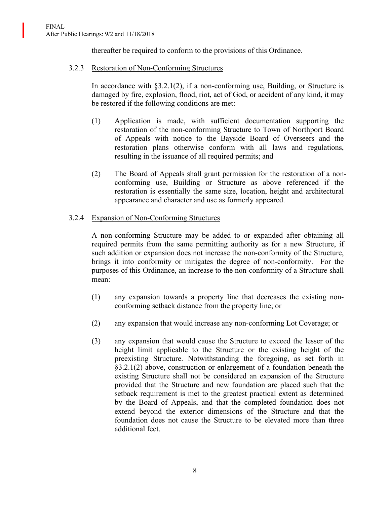thereafter be required to conform to the provisions of this Ordinance.

### 3.2.3 Restoration of Non-Conforming Structures

In accordance with  $\S 3.2.1(2)$ , if a non-conforming use, Building, or Structure is damaged by fire, explosion, flood, riot, act of God, or accident of any kind, it may be restored if the following conditions are met:

- (1) Application is made, with sufficient documentation supporting the restoration of the non-conforming Structure to Town of Northport Board of Appeals with notice to the Bayside Board of Overseers and the restoration plans otherwise conform with all laws and regulations, resulting in the issuance of all required permits; and
- (2) The Board of Appeals shall grant permission for the restoration of a nonconforming use, Building or Structure as above referenced if the restoration is essentially the same size, location, height and architectural appearance and character and use as formerly appeared.

### 3.2.4 Expansion of Non-Conforming Structures

A non-conforming Structure may be added to or expanded after obtaining all required permits from the same permitting authority as for a new Structure, if such addition or expansion does not increase the non-conformity of the Structure, brings it into conformity or mitigates the degree of non-conformity. For the purposes of this Ordinance, an increase to the non-conformity of a Structure shall mean:

- (1) any expansion towards a property line that decreases the existing nonconforming setback distance from the property line; or
- (2) any expansion that would increase any non-conforming Lot Coverage; or
- (3) any expansion that would cause the Structure to exceed the lesser of the height limit applicable to the Structure or the existing height of the preexisting Structure. Notwithstanding the foregoing, as set forth in §3.2.1(2) above, construction or enlargement of a foundation beneath the existing Structure shall not be considered an expansion of the Structure provided that the Structure and new foundation are placed such that the setback requirement is met to the greatest practical extent as determined by the Board of Appeals, and that the completed foundation does not extend beyond the exterior dimensions of the Structure and that the foundation does not cause the Structure to be elevated more than three additional feet.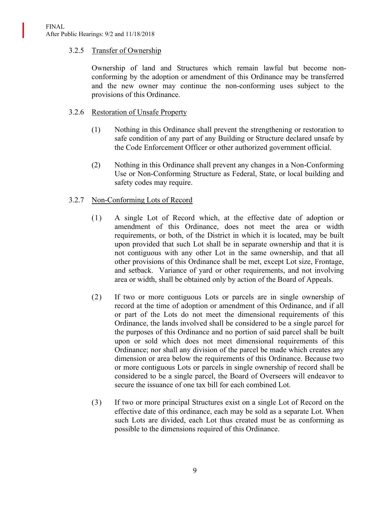### 3.2.5 Transfer of Ownership

Ownership of land and Structures which remain lawful but become nonconforming by the adoption or amendment of this Ordinance may be transferred and the new owner may continue the non-conforming uses subject to the provisions of this Ordinance.

### 3.2.6 Restoration of Unsafe Property

- (1) Nothing in this Ordinance shall prevent the strengthening or restoration to safe condition of any part of any Building or Structure declared unsafe by the Code Enforcement Officer or other authorized government official.
- (2) Nothing in this Ordinance shall prevent any changes in a Non-Conforming Use or Non-Conforming Structure as Federal, State, or local building and safety codes may require.

### 3.2.7 Non-Conforming Lots of Record

- (1) A single Lot of Record which, at the effective date of adoption or amendment of this Ordinance, does not meet the area or width requirements, or both, of the District in which it is located, may be built upon provided that such Lot shall be in separate ownership and that it is not contiguous with any other Lot in the same ownership, and that all other provisions of this Ordinance shall be met, except Lot size, Frontage, and setback. Variance of yard or other requirements, and not involving area or width, shall be obtained only by action of the Board of Appeals.
- (2) If two or more contiguous Lots or parcels are in single ownership of record at the time of adoption or amendment of this Ordinance, and if all or part of the Lots do not meet the dimensional requirements of this Ordinance, the lands involved shall be considered to be a single parcel for the purposes of this Ordinance and no portion of said parcel shall be built upon or sold which does not meet dimensional requirements of this Ordinance; nor shall any division of the parcel be made which creates any dimension or area below the requirements of this Ordinance. Because two or more contiguous Lots or parcels in single ownership of record shall be considered to be a single parcel, the Board of Overseers will endeavor to secure the issuance of one tax bill for each combined Lot.
- (3) If two or more principal Structures exist on a single Lot of Record on the effective date of this ordinance, each may be sold as a separate Lot. When such Lots are divided, each Lot thus created must be as conforming as possible to the dimensions required of this Ordinance.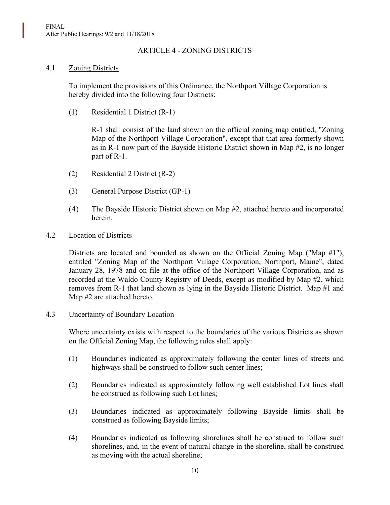### ARTICLE 4 - ZONING DISTRICTS

### 4.1 Zoning Districts

To implement the provisions of this Ordinance, the Northport Village Corporation is hereby divided into the following four Districts:

(1) Residential 1 District (R-1)

R-1 shall consist of the land shown on the official zoning map entitled, "Zoning Map of the Northport Village Corporation", except that that area formerly shown as in R-1 now part of the Bayside Historic District shown in Map #2, is no longer part of R-1.

- (2) Residential 2 District (R-2)
- (3) General Purpose District (GP-1)
- (4) The Bayside Historic District shown on Map #2, attached hereto and incorporated herein.

#### 4.2 Location of Districts

Districts are located and bounded as shown on the Official Zoning Map ("Map  $\#1$ "), entitled "Zoning Map of the Northport Village Corporation, Northport, Maine", dated January 28, 1978 and on file at the office of the Northport Village Corporation, and as recorded at the Waldo County Registry of Deeds, except as modified by Map #2, which removes from R-1 that land shown as lying in the Bayside Historic District. Map #1 and Map #2 are attached hereto.

#### 4.3 Uncertainty of Boundary Location

Where uncertainty exists with respect to the boundaries of the various Districts as shown on the Official Zoning Map, the following rules shall apply:

- (1) Boundaries indicated as approximately following the center lines of streets and highways shall be construed to follow such center lines;
- (2) Boundaries indicated as approximately following well established Lot lines shall be construed as following such Lot lines;
- (3) Boundaries indicated as approximately following Bayside limits shall be construed as following Bayside limits;
- (4) Boundaries indicated as following shorelines shall be construed to follow such shorelines, and, in the event of natural change in the shoreline, shall be construed as moving with the actual shoreline;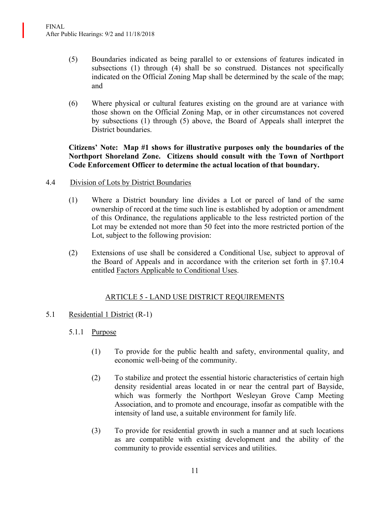- (5) Boundaries indicated as being parallel to or extensions of features indicated in subsections (1) through (4) shall be so construed. Distances not specifically indicated on the Official Zoning Map shall be determined by the scale of the map; and
- (6) Where physical or cultural features existing on the ground are at variance with those shown on the Official Zoning Map, or in other circumstances not covered by subsections (1) through (5) above, the Board of Appeals shall interpret the District boundaries.

## **Citizens' Note: Map #1 shows for illustrative purposes only the boundaries of the Northport Shoreland Zone. Citizens should consult with the Town of Northport Code Enforcement Officer to determine the actual location of that boundary.**

- 4.4 Division of Lots by District Boundaries
	- (1) Where a District boundary line divides a Lot or parcel of land of the same ownership of record at the time such line is established by adoption or amendment of this Ordinance, the regulations applicable to the less restricted portion of the Lot may be extended not more than 50 feet into the more restricted portion of the Lot, subject to the following provision:
	- (2) Extensions of use shall be considered a Conditional Use, subject to approval of the Board of Appeals and in accordance with the criterion set forth in §7.10.4 entitled Factors Applicable to Conditional Uses.

## ARTICLE 5 - LAND USE DISTRICT REQUIREMENTS

## 5.1 Residential 1 District (R-1)

## 5.1.1 Purpose

- (1) To provide for the public health and safety, environmental quality, and economic well-being of the community.
- (2) To stabilize and protect the essential historic characteristics of certain high density residential areas located in or near the central part of Bayside, which was formerly the Northport Wesleyan Grove Camp Meeting Association, and to promote and encourage, insofar as compatible with the intensity of land use, a suitable environment for family life.
- (3) To provide for residential growth in such a manner and at such locations as are compatible with existing development and the ability of the community to provide essential services and utilities.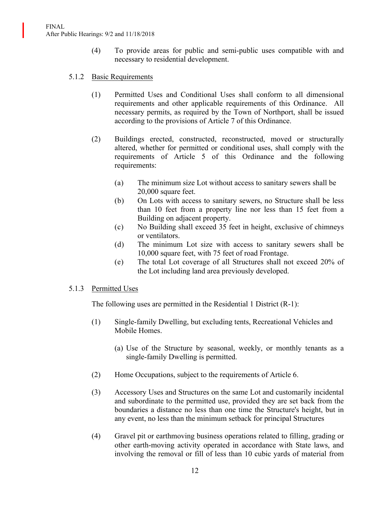- (4) To provide areas for public and semi-public uses compatible with and necessary to residential development.
- 5.1.2 Basic Requirements
	- (1) Permitted Uses and Conditional Uses shall conform to all dimensional requirements and other applicable requirements of this Ordinance. All necessary permits, as required by the Town of Northport, shall be issued according to the provisions of Article 7 of this Ordinance.
	- (2) Buildings erected, constructed, reconstructed, moved or structurally altered, whether for permitted or conditional uses, shall comply with the requirements of Article 5 of this Ordinance and the following requirements:
		- (a) The minimum size Lot without access to sanitary sewers shall be 20,000 square feet.
		- (b) On Lots with access to sanitary sewers, no Structure shall be less than 10 feet from a property line nor less than 15 feet from a Building on adjacent property.
		- (c) No Building shall exceed 35 feet in height, exclusive of chimneys or ventilators.
		- (d) The minimum Lot size with access to sanitary sewers shall be 10,000 square feet, with 75 feet of road Frontage.
		- (e) The total Lot coverage of all Structures shall not exceed 20% of the Lot including land area previously developed.

#### 5.1.3 Permitted Uses

The following uses are permitted in the Residential 1 District (R-1):

- (1) Single-family Dwelling, but excluding tents, Recreational Vehicles and Mobile Homes.
	- (a) Use of the Structure by seasonal, weekly, or monthly tenants as a single-family Dwelling is permitted.
- (2) Home Occupations, subject to the requirements of Article 6.
- (3) Accessory Uses and Structures on the same Lot and customarily incidental and subordinate to the permitted use, provided they are set back from the boundaries a distance no less than one time the Structure's height, but in any event, no less than the minimum setback for principal Structures
- (4) Gravel pit or earthmoving business operations related to filling, grading or other earth-moving activity operated in accordance with State laws, and involving the removal or fill of less than 10 cubic yards of material from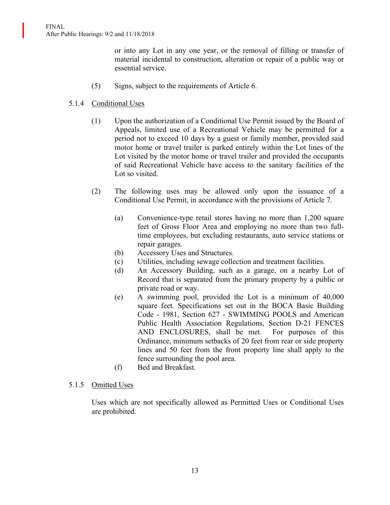or into any Lot in any one year, or the removal of filling or transfer of material incidental to construction, alteration or repair of a public way or essential service.

(5) Signs, subject to the requirements of Article 6.

## 5.1.4 Conditional Uses

- (1) Upon the authorization of a Conditional Use Permit issued by the Board of Appeals, limited use of a Recreational Vehicle may be permitted for a period not to exceed 10 days by a guest or family member, provided said motor home or travel trailer is parked entirely within the Lot lines of the Lot visited by the motor home or travel trailer and provided the occupants of said Recreational Vehicle have access to the sanitary facilities of the Lot so visited.
- (2) The following uses may be allowed only upon the issuance of a Conditional Use Permit, in accordance with the provisions of Article 7.
	- (a) Convenience-type retail stores having no more than 1,200 square feet of Gross Floor Area and employing no more than two fulltime employees, but excluding restaurants, auto service stations or repair garages.
	- (b) Accessory Uses and Structures.
	- (c) Utilities, including sewage collection and treatment facilities.
	- (d) An Accessory Building, such as a garage, on a nearby Lot of Record that is separated from the primary property by a public or private road or way.
	- (e) A swimming pool, provided the Lot is a minimum of 40,000 square feet. Specifications set out in the BOCA Basic Building Code - 1981, Section 627 - SWIMMING POOLS and American Public Health Association Regulations, Section D-21 FENCES AND ENCLOSURES, shall be met. For purposes of this Ordinance, minimum setbacks of 20 feet from rear or side property lines and 50 feet from the front property line shall apply to the fence surrounding the pool area.
	- (f) Bed and Breakfast.

## 5.1.5 Omitted Uses

Uses which are not specifically allowed as Permitted Uses or Conditional Uses are prohibited.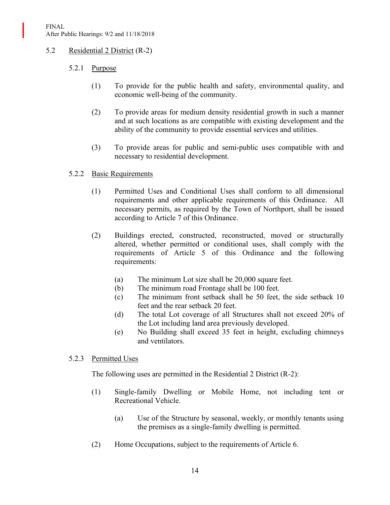## 5.2 Residential 2 District (R-2)

# 5.2.1 Purpose

- (1) To provide for the public health and safety, environmental quality, and economic well-being of the community.
- (2) To provide areas for medium density residential growth in such a manner and at such locations as are compatible with existing development and the ability of the community to provide essential services and utilities.
- (3) To provide areas for public and semi-public uses compatible with and necessary to residential development.

## 5.2.2 Basic Requirements

- (1) Permitted Uses and Conditional Uses shall conform to all dimensional requirements and other applicable requirements of this Ordinance. All necessary permits, as required by the Town of Northport, shall be issued according to Article 7 of this Ordinance.
- (2) Buildings erected, constructed, reconstructed, moved or structurally altered, whether permitted or conditional uses, shall comply with the requirements of Article 5 of this Ordinance and the following requirements:
	- (a) The minimum Lot size shall be 20,000 square feet.
	- (b) The minimum road Frontage shall be 100 feet.
	- (c) The minimum front setback shall be 50 feet, the side setback 10 feet and the rear setback 20 feet.
	- (d) The total Lot coverage of all Structures shall not exceed 20% of the Lot including land area previously developed.
	- (e) No Building shall exceed 35 feet in height, excluding chimneys and ventilators.

## 5.2.3 Permitted Uses

The following uses are permitted in the Residential 2 District (R-2):

- (1) Single-family Dwelling or Mobile Home, not including tent or Recreational Vehicle.
	- (a) Use of the Structure by seasonal, weekly, or monthly tenants using the premises as a single-family dwelling is permitted.
- (2) Home Occupations, subject to the requirements of Article 6.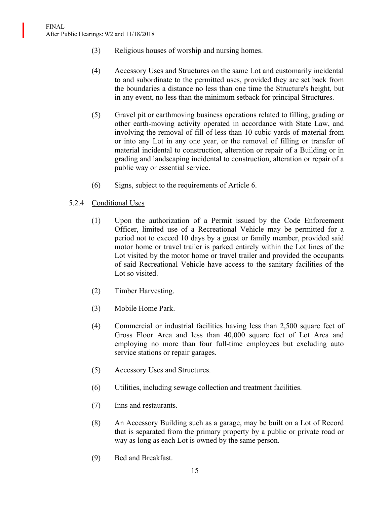- (3) Religious houses of worship and nursing homes.
- (4) Accessory Uses and Structures on the same Lot and customarily incidental to and subordinate to the permitted uses, provided they are set back from the boundaries a distance no less than one time the Structure's height, but in any event, no less than the minimum setback for principal Structures.
- (5) Gravel pit or earthmoving business operations related to filling, grading or other earth-moving activity operated in accordance with State Law, and involving the removal of fill of less than 10 cubic yards of material from or into any Lot in any one year, or the removal of filling or transfer of material incidental to construction, alteration or repair of a Building or in grading and landscaping incidental to construction, alteration or repair of a public way or essential service.
- (6) Signs, subject to the requirements of Article 6.
- 5.2.4 Conditional Uses
	- (1) Upon the authorization of a Permit issued by the Code Enforcement Officer, limited use of a Recreational Vehicle may be permitted for a period not to exceed 10 days by a guest or family member, provided said motor home or travel trailer is parked entirely within the Lot lines of the Lot visited by the motor home or travel trailer and provided the occupants of said Recreational Vehicle have access to the sanitary facilities of the Lot so visited.
	- (2) Timber Harvesting.
	- (3) Mobile Home Park.
	- (4) Commercial or industrial facilities having less than 2,500 square feet of Gross Floor Area and less than 40,000 square feet of Lot Area and employing no more than four full-time employees but excluding auto service stations or repair garages.
	- (5) Accessory Uses and Structures.
	- (6) Utilities, including sewage collection and treatment facilities.
	- (7) Inns and restaurants.
	- (8) An Accessory Building such as a garage, may be built on a Lot of Record that is separated from the primary property by a public or private road or way as long as each Lot is owned by the same person.
	- (9) Bed and Breakfast.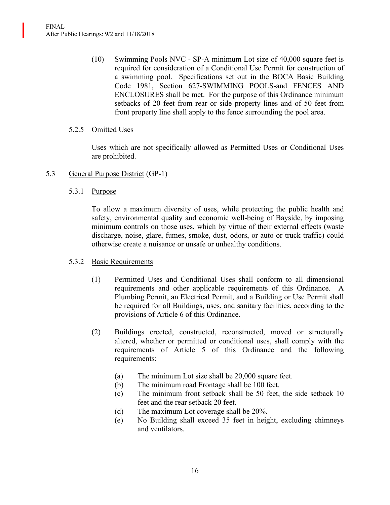(10) Swimming Pools NVC - SP-A minimum Lot size of 40,000 square feet is required for consideration of a Conditional Use Permit for construction of a swimming pool. Specifications set out in the BOCA Basic Building Code 1981, Section 627-SWIMMING POOLS-and FENCES AND ENCLOSURES shall be met. For the purpose of this Ordinance minimum setbacks of 20 feet from rear or side property lines and of 50 feet from front property line shall apply to the fence surrounding the pool area.

## 5.2.5 Omitted Uses

Uses which are not specifically allowed as Permitted Uses or Conditional Uses are prohibited.

## 5.3 General Purpose District (GP-1)

### 5.3.1 Purpose

To allow a maximum diversity of uses, while protecting the public health and safety, environmental quality and economic well-being of Bayside, by imposing minimum controls on those uses, which by virtue of their external effects (waste discharge, noise, glare, fumes, smoke, dust, odors, or auto or truck traffic) could otherwise create a nuisance or unsafe or unhealthy conditions.

#### 5.3.2 Basic Requirements

- (1) Permitted Uses and Conditional Uses shall conform to all dimensional requirements and other applicable requirements of this Ordinance. A Plumbing Permit, an Electrical Permit, and a Building or Use Permit shall be required for all Buildings, uses, and sanitary facilities, according to the provisions of Article 6 of this Ordinance.
- (2) Buildings erected, constructed, reconstructed, moved or structurally altered, whether or permitted or conditional uses, shall comply with the requirements of Article 5 of this Ordinance and the following requirements:
	- (a) The minimum Lot size shall be 20,000 square feet.
	- (b) The minimum road Frontage shall be 100 feet.
	- (c) The minimum front setback shall be 50 feet, the side setback 10 feet and the rear setback 20 feet.
	- (d) The maximum Lot coverage shall be 20%.
	- (e) No Building shall exceed 35 feet in height, excluding chimneys and ventilators.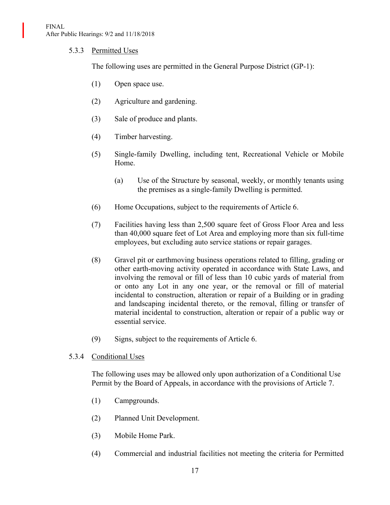### 5.3.3 Permitted Uses

The following uses are permitted in the General Purpose District (GP-1):

- (1) Open space use.
- (2) Agriculture and gardening.
- (3) Sale of produce and plants.
- (4) Timber harvesting.
- (5) Single-family Dwelling, including tent, Recreational Vehicle or Mobile Home.
	- (a) Use of the Structure by seasonal, weekly, or monthly tenants using the premises as a single-family Dwelling is permitted.
- (6) Home Occupations, subject to the requirements of Article 6.
- (7) Facilities having less than 2,500 square feet of Gross Floor Area and less than 40,000 square feet of Lot Area and employing more than six full-time employees, but excluding auto service stations or repair garages.
- (8) Gravel pit or earthmoving business operations related to filling, grading or other earth-moving activity operated in accordance with State Laws, and involving the removal or fill of less than 10 cubic yards of material from or onto any Lot in any one year, or the removal or fill of material incidental to construction, alteration or repair of a Building or in grading and landscaping incidental thereto, or the removal, filling or transfer of material incidental to construction, alteration or repair of a public way or essential service.
- (9) Signs, subject to the requirements of Article 6.

#### 5.3.4 Conditional Uses

The following uses may be allowed only upon authorization of a Conditional Use Permit by the Board of Appeals, in accordance with the provisions of Article 7.

- (1) Campgrounds.
- (2) Planned Unit Development.
- (3) Mobile Home Park.
- (4) Commercial and industrial facilities not meeting the criteria for Permitted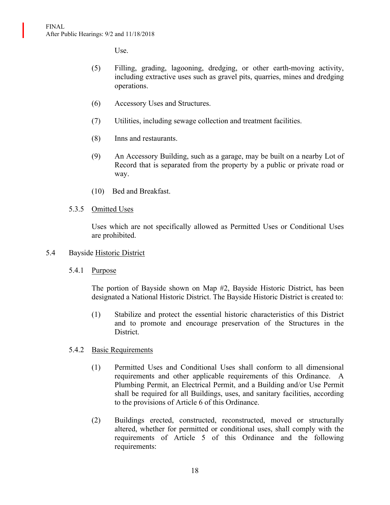Use.

- (5) Filling, grading, lagooning, dredging, or other earth-moving activity, including extractive uses such as gravel pits, quarries, mines and dredging operations.
- (6) Accessory Uses and Structures.
- (7) Utilities, including sewage collection and treatment facilities.
- (8) Inns and restaurants.
- (9) An Accessory Building, such as a garage, may be built on a nearby Lot of Record that is separated from the property by a public or private road or way.
- (10) Bed and Breakfast.

### 5.3.5 Omitted Uses

Uses which are not specifically allowed as Permitted Uses or Conditional Uses are prohibited.

#### 5.4 Bayside Historic District

5.4.1 Purpose

The portion of Bayside shown on Map #2, Bayside Historic District, has been designated a National Historic District. The Bayside Historic District is created to:

(1) Stabilize and protect the essential historic characteristics of this District and to promote and encourage preservation of the Structures in the District.

#### 5.4.2 Basic Requirements

- (1) Permitted Uses and Conditional Uses shall conform to all dimensional requirements and other applicable requirements of this Ordinance. A Plumbing Permit, an Electrical Permit, and a Building and/or Use Permit shall be required for all Buildings, uses, and sanitary facilities, according to the provisions of Article 6 of this Ordinance.
- (2) Buildings erected, constructed, reconstructed, moved or structurally altered, whether for permitted or conditional uses, shall comply with the requirements of Article 5 of this Ordinance and the following requirements: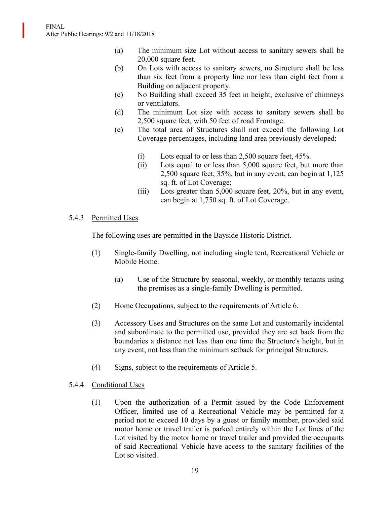- (a) The minimum size Lot without access to sanitary sewers shall be 20,000 square feet.
- (b) On Lots with access to sanitary sewers, no Structure shall be less than six feet from a property line nor less than eight feet from a Building on adjacent property.
- (c) No Building shall exceed 35 feet in height, exclusive of chimneys or ventilators.
- (d) The minimum Lot size with access to sanitary sewers shall be 2,500 square feet, with 50 feet of road Frontage.
- (e) The total area of Structures shall not exceed the following Lot Coverage percentages, including land area previously developed:
	- (i) Lots equal to or less than 2,500 square feet, 45%.
	- (ii) Lots equal to or less than 5,000 square feet, but more than 2,500 square feet, 35%, but in any event, can begin at 1,125 sq. ft. of Lot Coverage;
	- (iii) Lots greater than 5,000 square feet, 20%, but in any event, can begin at 1,750 sq. ft. of Lot Coverage.

## 5.4.3 Permitted Uses

The following uses are permitted in the Bayside Historic District.

- (1) Single-family Dwelling, not including single tent, Recreational Vehicle or Mobile Home.
	- (a) Use of the Structure by seasonal, weekly, or monthly tenants using the premises as a single-family Dwelling is permitted.
- (2) Home Occupations, subject to the requirements of Article 6.
- (3) Accessory Uses and Structures on the same Lot and customarily incidental and subordinate to the permitted use, provided they are set back from the boundaries a distance not less than one time the Structure's height, but in any event, not less than the minimum setback for principal Structures.
- (4) Signs, subject to the requirements of Article 5.
- 5.4.4 Conditional Uses
	- (1) Upon the authorization of a Permit issued by the Code Enforcement Officer, limited use of a Recreational Vehicle may be permitted for a period not to exceed 10 days by a guest or family member, provided said motor home or travel trailer is parked entirely within the Lot lines of the Lot visited by the motor home or travel trailer and provided the occupants of said Recreational Vehicle have access to the sanitary facilities of the Lot so visited.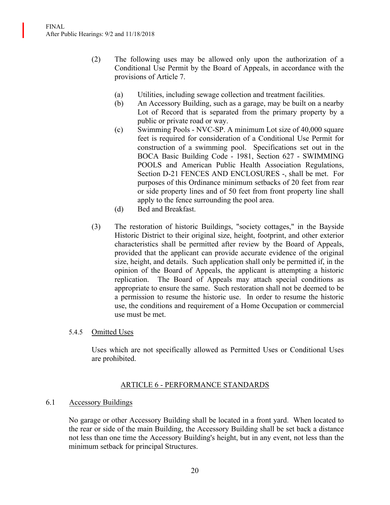- (2) The following uses may be allowed only upon the authorization of a Conditional Use Permit by the Board of Appeals, in accordance with the provisions of Article 7.
	- (a) Utilities, including sewage collection and treatment facilities.
	- (b) An Accessory Building, such as a garage, may be built on a nearby Lot of Record that is separated from the primary property by a public or private road or way.
	- (c) Swimming Pools NVC-SP. A minimum Lot size of 40,000 square feet is required for consideration of a Conditional Use Permit for construction of a swimming pool. Specifications set out in the BOCA Basic Building Code - 1981, Section 627 - SWIMMING POOLS and American Public Health Association Regulations, Section D-21 FENCES AND ENCLOSURES -, shall be met. For purposes of this Ordinance minimum setbacks of 20 feet from rear or side property lines and of 50 feet from front property line shall apply to the fence surrounding the pool area.
	- (d) Bed and Breakfast.
- (3) The restoration of historic Buildings, "society cottages," in the Bayside Historic District to their original size, height, footprint, and other exterior characteristics shall be permitted after review by the Board of Appeals, provided that the applicant can provide accurate evidence of the original size, height, and details. Such application shall only be permitted if, in the opinion of the Board of Appeals, the applicant is attempting a historic replication. The Board of Appeals may attach special conditions as appropriate to ensure the same. Such restoration shall not be deemed to be a permission to resume the historic use. In order to resume the historic use, the conditions and requirement of a Home Occupation or commercial use must be met.

## 5.4.5 Omitted Uses

Uses which are not specifically allowed as Permitted Uses or Conditional Uses are prohibited.

## ARTICLE 6 - PERFORMANCE STANDARDS

#### 6.1 Accessory Buildings

No garage or other Accessory Building shall be located in a front yard. When located to the rear or side of the main Building, the Accessory Building shall be set back a distance not less than one time the Accessory Building's height, but in any event, not less than the minimum setback for principal Structures.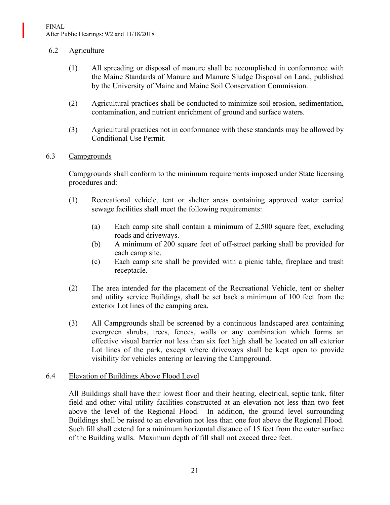### 6.2 Agriculture

- (1) All spreading or disposal of manure shall be accomplished in conformance with the Maine Standards of Manure and Manure Sludge Disposal on Land, published by the University of Maine and Maine Soil Conservation Commission.
- (2) Agricultural practices shall be conducted to minimize soil erosion, sedimentation, contamination, and nutrient enrichment of ground and surface waters.
- (3) Agricultural practices not in conformance with these standards may be allowed by Conditional Use Permit.

### 6.3 Campgrounds

Campgrounds shall conform to the minimum requirements imposed under State licensing procedures and:

- (1) Recreational vehicle, tent or shelter areas containing approved water carried sewage facilities shall meet the following requirements:
	- (a) Each camp site shall contain a minimum of 2,500 square feet, excluding roads and driveways.
	- (b) A minimum of 200 square feet of off-street parking shall be provided for each camp site.
	- (c) Each camp site shall be provided with a picnic table, fireplace and trash receptacle.
- (2) The area intended for the placement of the Recreational Vehicle, tent or shelter and utility service Buildings, shall be set back a minimum of 100 feet from the exterior Lot lines of the camping area.
- (3) All Campgrounds shall be screened by a continuous landscaped area containing evergreen shrubs, trees, fences, walls or any combination which forms an effective visual barrier not less than six feet high shall be located on all exterior Lot lines of the park, except where driveways shall be kept open to provide visibility for vehicles entering or leaving the Campground.

#### 6.4 Elevation of Buildings Above Flood Level

All Buildings shall have their lowest floor and their heating, electrical, septic tank, filter field and other vital utility facilities constructed at an elevation not less than two feet above the level of the Regional Flood. In addition, the ground level surrounding Buildings shall be raised to an elevation not less than one foot above the Regional Flood. Such fill shall extend for a minimum horizontal distance of 15 feet from the outer surface of the Building walls. Maximum depth of fill shall not exceed three feet.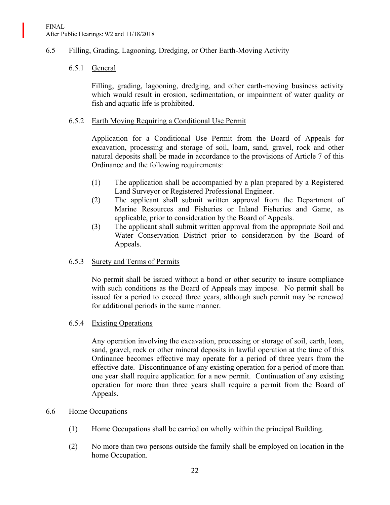### 6.5 Filling, Grading, Lagooning, Dredging, or Other Earth-Moving Activity

### 6.5.1 General

Filling, grading, lagooning, dredging, and other earth-moving business activity which would result in erosion, sedimentation, or impairment of water quality or fish and aquatic life is prohibited.

### 6.5.2 Earth Moving Requiring a Conditional Use Permit

Application for a Conditional Use Permit from the Board of Appeals for excavation, processing and storage of soil, loam, sand, gravel, rock and other natural deposits shall be made in accordance to the provisions of Article 7 of this Ordinance and the following requirements:

- (1) The application shall be accompanied by a plan prepared by a Registered Land Surveyor or Registered Professional Engineer.
- (2) The applicant shall submit written approval from the Department of Marine Resources and Fisheries or Inland Fisheries and Game, as applicable, prior to consideration by the Board of Appeals.
- (3) The applicant shall submit written approval from the appropriate Soil and Water Conservation District prior to consideration by the Board of Appeals.

#### 6.5.3 Surety and Terms of Permits

No permit shall be issued without a bond or other security to insure compliance with such conditions as the Board of Appeals may impose. No permit shall be issued for a period to exceed three years, although such permit may be renewed for additional periods in the same manner.

#### 6.5.4 Existing Operations

Any operation involving the excavation, processing or storage of soil, earth, loan, sand, gravel, rock or other mineral deposits in lawful operation at the time of this Ordinance becomes effective may operate for a period of three years from the effective date. Discontinuance of any existing operation for a period of more than one year shall require application for a new permit. Continuation of any existing operation for more than three years shall require a permit from the Board of Appeals.

#### 6.6 Home Occupations

- (1) Home Occupations shall be carried on wholly within the principal Building.
- (2) No more than two persons outside the family shall be employed on location in the home Occupation.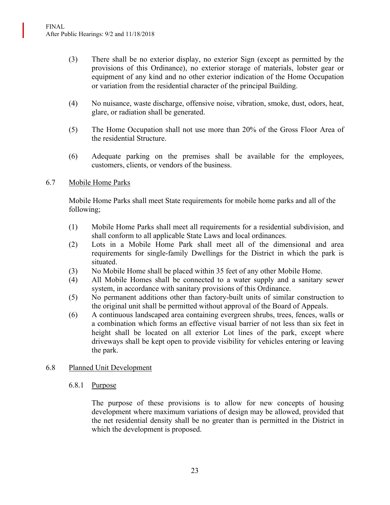- (3) There shall be no exterior display, no exterior Sign (except as permitted by the provisions of this Ordinance), no exterior storage of materials, lobster gear or equipment of any kind and no other exterior indication of the Home Occupation or variation from the residential character of the principal Building.
- (4) No nuisance, waste discharge, offensive noise, vibration, smoke, dust, odors, heat, glare, or radiation shall be generated.
- (5) The Home Occupation shall not use more than 20% of the Gross Floor Area of the residential Structure.
- (6) Adequate parking on the premises shall be available for the employees, customers, clients, or vendors of the business.

## 6.7 Mobile Home Parks

Mobile Home Parks shall meet State requirements for mobile home parks and all of the following;

- (1) Mobile Home Parks shall meet all requirements for a residential subdivision, and shall conform to all applicable State Laws and local ordinances.
- (2) Lots in a Mobile Home Park shall meet all of the dimensional and area requirements for single-family Dwellings for the District in which the park is situated.
- (3) No Mobile Home shall be placed within 35 feet of any other Mobile Home.
- (4) All Mobile Homes shall be connected to a water supply and a sanitary sewer system, in accordance with sanitary provisions of this Ordinance.
- (5) No permanent additions other than factory-built units of similar construction to the original unit shall be permitted without approval of the Board of Appeals.
- (6) A continuous landscaped area containing evergreen shrubs, trees, fences, walls or a combination which forms an effective visual barrier of not less than six feet in height shall be located on all exterior Lot lines of the park, except where driveways shall be kept open to provide visibility for vehicles entering or leaving the park.

## 6.8 Planned Unit Development

#### 6.8.1 Purpose

The purpose of these provisions is to allow for new concepts of housing development where maximum variations of design may be allowed, provided that the net residential density shall be no greater than is permitted in the District in which the development is proposed.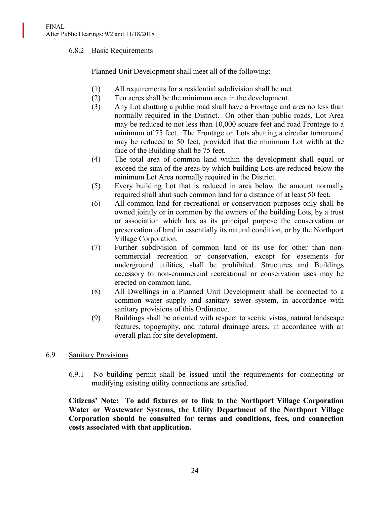### 6.8.2 Basic Requirements

Planned Unit Development shall meet all of the following:

- (1) All requirements for a residential subdivision shall be met.
- (2) Ten acres shall be the minimum area in the development.
- (3) Any Lot abutting a public road shall have a Frontage and area no less than normally required in the District. On other than public roads, Lot Area may be reduced to not less than 10,000 square feet and road Frontage to a minimum of 75 feet. The Frontage on Lots abutting a circular turnaround may be reduced to 50 feet, provided that the minimum Lot width at the face of the Building shall be 75 feet.
- (4) The total area of common land within the development shall equal or exceed the sum of the areas by which building Lots are reduced below the minimum Lot Area normally required in the District.
- (5) Every building Lot that is reduced in area below the amount normally required shall abut such common land for a distance of at least 50 feet.
- (6) All common land for recreational or conservation purposes only shall be owned jointly or in common by the owners of the building Lots, by a trust or association which has as its principal purpose the conservation or preservation of land in essentially its natural condition, or by the Northport Village Corporation.
- (7) Further subdivision of common land or its use for other than noncommercial recreation or conservation, except for easements for underground utilities, shall be prohibited. Structures and Buildings accessory to non-commercial recreational or conservation uses may be erected on common land.
- (8) All Dwellings in a Planned Unit Development shall be connected to a common water supply and sanitary sewer system, in accordance with sanitary provisions of this Ordinance.
- (9) Buildings shall be oriented with respect to scenic vistas, natural landscape features, topography, and natural drainage areas, in accordance with an overall plan for site development.

## 6.9 Sanitary Provisions

6.9.1 No building permit shall be issued until the requirements for connecting or modifying existing utility connections are satisfied.

**Citizens' Note: To add fixtures or to link to the Northport Village Corporation Water or Wastewater Systems, the Utility Department of the Northport Village Corporation should be consulted for terms and conditions, fees, and connection costs associated with that application.**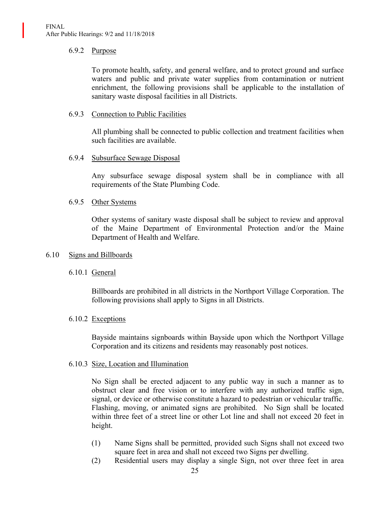### 6.9.2 Purpose

To promote health, safety, and general welfare, and to protect ground and surface waters and public and private water supplies from contamination or nutrient enrichment, the following provisions shall be applicable to the installation of sanitary waste disposal facilities in all Districts.

### 6.9.3 Connection to Public Facilities

All plumbing shall be connected to public collection and treatment facilities when such facilities are available.

#### 6.9.4 Subsurface Sewage Disposal

Any subsurface sewage disposal system shall be in compliance with all requirements of the State Plumbing Code.

#### 6.9.5 Other Systems

Other systems of sanitary waste disposal shall be subject to review and approval of the Maine Department of Environmental Protection and/or the Maine Department of Health and Welfare.

#### 6.10 Signs and Billboards

## 6.10.1 General

Billboards are prohibited in all districts in the Northport Village Corporation. The following provisions shall apply to Signs in all Districts.

## 6.10.2 Exceptions

Bayside maintains signboards within Bayside upon which the Northport Village Corporation and its citizens and residents may reasonably post notices.

#### 6.10.3 Size, Location and Illumination

No Sign shall be erected adjacent to any public way in such a manner as to obstruct clear and free vision or to interfere with any authorized traffic sign, signal, or device or otherwise constitute a hazard to pedestrian or vehicular traffic. Flashing, moving, or animated signs are prohibited. No Sign shall be located within three feet of a street line or other Lot line and shall not exceed 20 feet in height.

- (1) Name Signs shall be permitted, provided such Signs shall not exceed two square feet in area and shall not exceed two Signs per dwelling.
- (2) Residential users may display a single Sign, not over three feet in area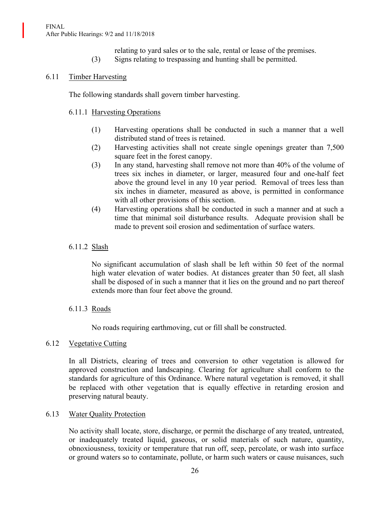#### FINAL After Public Hearings: 9/2 and 11/18/2018

- relating to yard sales or to the sale, rental or lease of the premises.
- (3) Signs relating to trespassing and hunting shall be permitted.

# 6.11 Timber Harvesting

The following standards shall govern timber harvesting.

## 6.11.1 Harvesting Operations

- (1) Harvesting operations shall be conducted in such a manner that a well distributed stand of trees is retained.
- (2) Harvesting activities shall not create single openings greater than 7,500 square feet in the forest canopy.
- (3) In any stand, harvesting shall remove not more than 40% of the volume of trees six inches in diameter, or larger, measured four and one-half feet above the ground level in any 10 year period. Removal of trees less than six inches in diameter, measured as above, is permitted in conformance with all other provisions of this section.
- (4) Harvesting operations shall be conducted in such a manner and at such a time that minimal soil disturbance results. Adequate provision shall be made to prevent soil erosion and sedimentation of surface waters.

# 6.11.2 Slash

No significant accumulation of slash shall be left within 50 feet of the normal high water elevation of water bodies. At distances greater than 50 feet, all slash shall be disposed of in such a manner that it lies on the ground and no part thereof extends more than four feet above the ground.

## 6.11.3 Roads

No roads requiring earthmoving, cut or fill shall be constructed.

## 6.12 Vegetative Cutting

In all Districts, clearing of trees and conversion to other vegetation is allowed for approved construction and landscaping. Clearing for agriculture shall conform to the standards for agriculture of this Ordinance. Where natural vegetation is removed, it shall be replaced with other vegetation that is equally effective in retarding erosion and preserving natural beauty.

## 6.13 Water Quality Protection

No activity shall locate, store, discharge, or permit the discharge of any treated, untreated, or inadequately treated liquid, gaseous, or solid materials of such nature, quantity, obnoxiousness, toxicity or temperature that run off, seep, percolate, or wash into surface or ground waters so to contaminate, pollute, or harm such waters or cause nuisances, such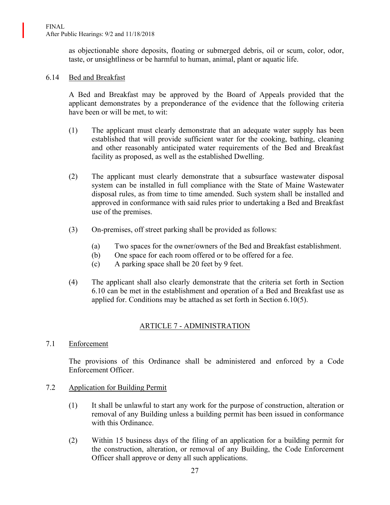as objectionable shore deposits, floating or submerged debris, oil or scum, color, odor, taste, or unsightliness or be harmful to human, animal, plant or aquatic life.

### 6.14 Bed and Breakfast

A Bed and Breakfast may be approved by the Board of Appeals provided that the applicant demonstrates by a preponderance of the evidence that the following criteria have been or will be met, to wit:

- (1) The applicant must clearly demonstrate that an adequate water supply has been established that will provide sufficient water for the cooking, bathing, cleaning and other reasonably anticipated water requirements of the Bed and Breakfast facility as proposed, as well as the established Dwelling.
- (2) The applicant must clearly demonstrate that a subsurface wastewater disposal system can be installed in full compliance with the State of Maine Wastewater disposal rules, as from time to time amended. Such system shall be installed and approved in conformance with said rules prior to undertaking a Bed and Breakfast use of the premises.
- (3) On-premises, off street parking shall be provided as follows:
	- (a) Two spaces for the owner/owners of the Bed and Breakfast establishment.
	- (b) One space for each room offered or to be offered for a fee.
	- (c) A parking space shall be 20 feet by 9 feet.
- (4) The applicant shall also clearly demonstrate that the criteria set forth in Section 6.10 can be met in the establishment and operation of a Bed and Breakfast use as applied for. Conditions may be attached as set forth in Section 6.10(5).

# ARTICLE 7 - ADMINISTRATION

7.1 Enforcement

The provisions of this Ordinance shall be administered and enforced by a Code Enforcement Officer.

- 7.2 Application for Building Permit
	- (1) It shall be unlawful to start any work for the purpose of construction, alteration or removal of any Building unless a building permit has been issued in conformance with this Ordinance.
	- (2) Within 15 business days of the filing of an application for a building permit for the construction, alteration, or removal of any Building, the Code Enforcement Officer shall approve or deny all such applications.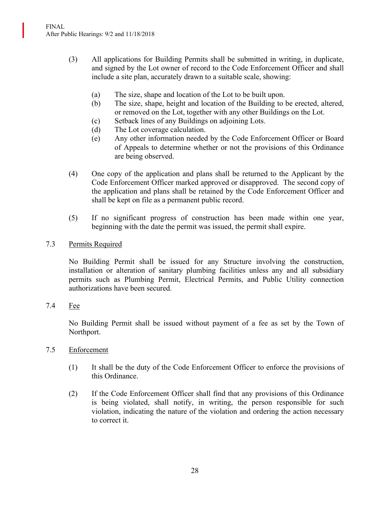- (3) All applications for Building Permits shall be submitted in writing, in duplicate, and signed by the Lot owner of record to the Code Enforcement Officer and shall include a site plan, accurately drawn to a suitable scale, showing:
	- (a) The size, shape and location of the Lot to be built upon.
	- (b) The size, shape, height and location of the Building to be erected, altered, or removed on the Lot, together with any other Buildings on the Lot.
	- (c) Setback lines of any Buildings on adjoining Lots.
	- (d) The Lot coverage calculation.
	- (e) Any other information needed by the Code Enforcement Officer or Board of Appeals to determine whether or not the provisions of this Ordinance are being observed.
- (4) One copy of the application and plans shall be returned to the Applicant by the Code Enforcement Officer marked approved or disapproved. The second copy of the application and plans shall be retained by the Code Enforcement Officer and shall be kept on file as a permanent public record.
- (5) If no significant progress of construction has been made within one year, beginning with the date the permit was issued, the permit shall expire.
- 7.3 Permits Required

No Building Permit shall be issued for any Structure involving the construction, installation or alteration of sanitary plumbing facilities unless any and all subsidiary permits such as Plumbing Permit, Electrical Permits, and Public Utility connection authorizations have been secured.

7.4 Fee

No Building Permit shall be issued without payment of a fee as set by the Town of Northport.

- 7.5 Enforcement
	- (1) It shall be the duty of the Code Enforcement Officer to enforce the provisions of this Ordinance.
	- (2) If the Code Enforcement Officer shall find that any provisions of this Ordinance is being violated, shall notify, in writing, the person responsible for such violation, indicating the nature of the violation and ordering the action necessary to correct it.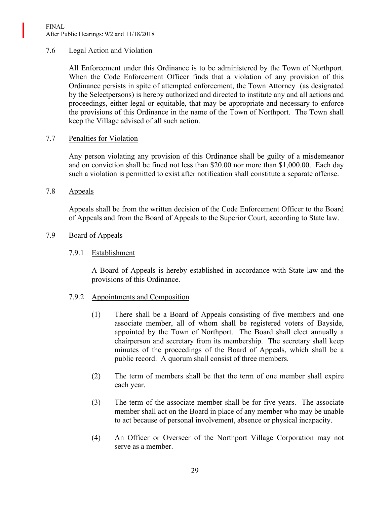### 7.6 Legal Action and Violation

All Enforcement under this Ordinance is to be administered by the Town of Northport. When the Code Enforcement Officer finds that a violation of any provision of this Ordinance persists in spite of attempted enforcement, the Town Attorney (as designated by the Selectpersons) is hereby authorized and directed to institute any and all actions and proceedings, either legal or equitable, that may be appropriate and necessary to enforce the provisions of this Ordinance in the name of the Town of Northport. The Town shall keep the Village advised of all such action.

### 7.7 Penalties for Violation

Any person violating any provision of this Ordinance shall be guilty of a misdemeanor and on conviction shall be fined not less than \$20.00 nor more than \$1,000.00. Each day such a violation is permitted to exist after notification shall constitute a separate offense.

7.8 Appeals

Appeals shall be from the written decision of the Code Enforcement Officer to the Board of Appeals and from the Board of Appeals to the Superior Court, according to State law.

### 7.9 Board of Appeals

#### 7.9.1 Establishment

A Board of Appeals is hereby established in accordance with State law and the provisions of this Ordinance.

#### 7.9.2 Appointments and Composition

- (1) There shall be a Board of Appeals consisting of five members and one associate member, all of whom shall be registered voters of Bayside, appointed by the Town of Northport. The Board shall elect annually a chairperson and secretary from its membership. The secretary shall keep minutes of the proceedings of the Board of Appeals, which shall be a public record. A quorum shall consist of three members.
- (2) The term of members shall be that the term of one member shall expire each year.
- (3) The term of the associate member shall be for five years. The associate member shall act on the Board in place of any member who may be unable to act because of personal involvement, absence or physical incapacity.
- (4) An Officer or Overseer of the Northport Village Corporation may not serve as a member.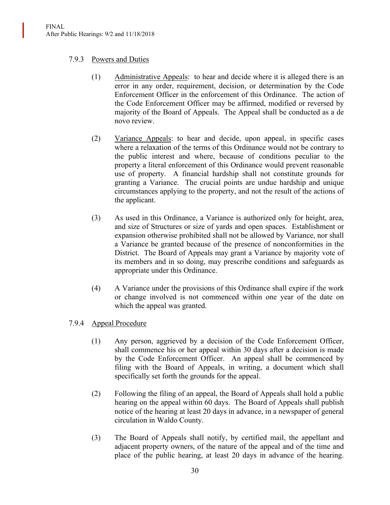## 7.9.3 Powers and Duties

- (1) Administrative Appeals: to hear and decide where it is alleged there is an error in any order, requirement, decision, or determination by the Code Enforcement Officer in the enforcement of this Ordinance. The action of the Code Enforcement Officer may be affirmed, modified or reversed by majority of the Board of Appeals. The Appeal shall be conducted as a de novo review.
- (2) Variance Appeals: to hear and decide, upon appeal, in specific cases where a relaxation of the terms of this Ordinance would not be contrary to the public interest and where, because of conditions peculiar to the property a literal enforcement of this Ordinance would prevent reasonable use of property. A financial hardship shall not constitute grounds for granting a Variance. The crucial points are undue hardship and unique circumstances applying to the property, and not the result of the actions of the applicant.
- (3) As used in this Ordinance, a Variance is authorized only for height, area, and size of Structures or size of yards and open spaces. Establishment or expansion otherwise prohibited shall not be allowed by Variance, nor shall a Variance be granted because of the presence of nonconformities in the District. The Board of Appeals may grant a Variance by majority vote of its members and in so doing, may prescribe conditions and safeguards as appropriate under this Ordinance.
- (4) A Variance under the provisions of this Ordinance shall expire if the work or change involved is not commenced within one year of the date on which the appeal was granted.

## 7.9.4 Appeal Procedure

- (1) Any person, aggrieved by a decision of the Code Enforcement Officer, shall commence his or her appeal within 30 days after a decision is made by the Code Enforcement Officer. An appeal shall be commenced by filing with the Board of Appeals, in writing, a document which shall specifically set forth the grounds for the appeal.
- (2) Following the filing of an appeal, the Board of Appeals shall hold a public hearing on the appeal within 60 days. The Board of Appeals shall publish notice of the hearing at least 20 days in advance, in a newspaper of general circulation in Waldo County.
- (3) The Board of Appeals shall notify, by certified mail, the appellant and adjacent property owners, of the nature of the appeal and of the time and place of the public hearing, at least 20 days in advance of the hearing.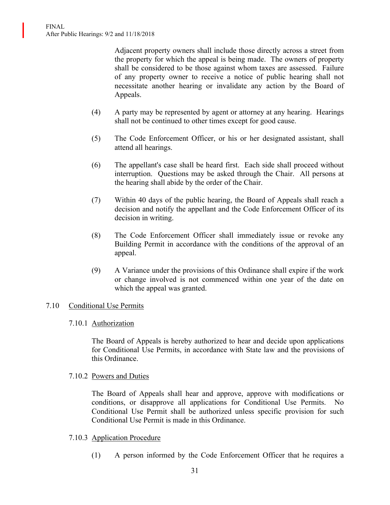Adjacent property owners shall include those directly across a street from the property for which the appeal is being made. The owners of property shall be considered to be those against whom taxes are assessed. Failure of any property owner to receive a notice of public hearing shall not necessitate another hearing or invalidate any action by the Board of Appeals.

- (4) A party may be represented by agent or attorney at any hearing. Hearings shall not be continued to other times except for good cause.
- (5) The Code Enforcement Officer, or his or her designated assistant, shall attend all hearings.
- (6) The appellant's case shall be heard first. Each side shall proceed without interruption. Questions may be asked through the Chair. All persons at the hearing shall abide by the order of the Chair.
- (7) Within 40 days of the public hearing, the Board of Appeals shall reach a decision and notify the appellant and the Code Enforcement Officer of its decision in writing.
- (8) The Code Enforcement Officer shall immediately issue or revoke any Building Permit in accordance with the conditions of the approval of an appeal.
- (9) A Variance under the provisions of this Ordinance shall expire if the work or change involved is not commenced within one year of the date on which the appeal was granted.

#### 7.10 Conditional Use Permits

#### 7.10.1 Authorization

The Board of Appeals is hereby authorized to hear and decide upon applications for Conditional Use Permits, in accordance with State law and the provisions of this Ordinance.

#### 7.10.2 Powers and Duties

The Board of Appeals shall hear and approve, approve with modifications or conditions, or disapprove all applications for Conditional Use Permits. No Conditional Use Permit shall be authorized unless specific provision for such Conditional Use Permit is made in this Ordinance.

#### 7.10.3 Application Procedure

(1) A person informed by the Code Enforcement Officer that he requires a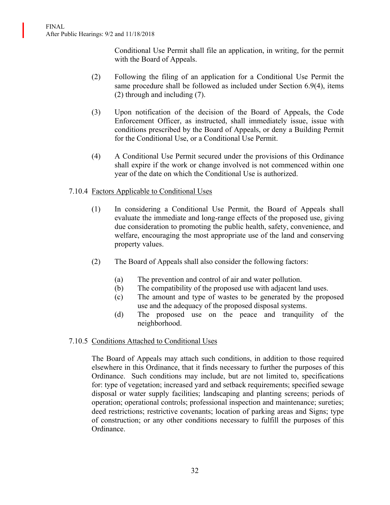Conditional Use Permit shall file an application, in writing, for the permit with the Board of Appeals.

- (2) Following the filing of an application for a Conditional Use Permit the same procedure shall be followed as included under Section 6.9(4), items (2) through and including (7).
- (3) Upon notification of the decision of the Board of Appeals, the Code Enforcement Officer, as instructed, shall immediately issue, issue with conditions prescribed by the Board of Appeals, or deny a Building Permit for the Conditional Use, or a Conditional Use Permit.
- (4) A Conditional Use Permit secured under the provisions of this Ordinance shall expire if the work or change involved is not commenced within one year of the date on which the Conditional Use is authorized.

# 7.10.4 Factors Applicable to Conditional Uses

- (1) In considering a Conditional Use Permit, the Board of Appeals shall evaluate the immediate and long-range effects of the proposed use, giving due consideration to promoting the public health, safety, convenience, and welfare, encouraging the most appropriate use of the land and conserving property values.
- (2) The Board of Appeals shall also consider the following factors:
	- (a) The prevention and control of air and water pollution.
	- (b) The compatibility of the proposed use with adjacent land uses.
	- (c) The amount and type of wastes to be generated by the proposed use and the adequacy of the proposed disposal systems.
	- (d) The proposed use on the peace and tranquility of the neighborhood.

## 7.10.5 Conditions Attached to Conditional Uses

The Board of Appeals may attach such conditions, in addition to those required elsewhere in this Ordinance, that it finds necessary to further the purposes of this Ordinance. Such conditions may include, but are not limited to, specifications for: type of vegetation; increased yard and setback requirements; specified sewage disposal or water supply facilities; landscaping and planting screens; periods of operation; operational controls; professional inspection and maintenance; sureties; deed restrictions; restrictive covenants; location of parking areas and Signs; type of construction; or any other conditions necessary to fulfill the purposes of this Ordinance.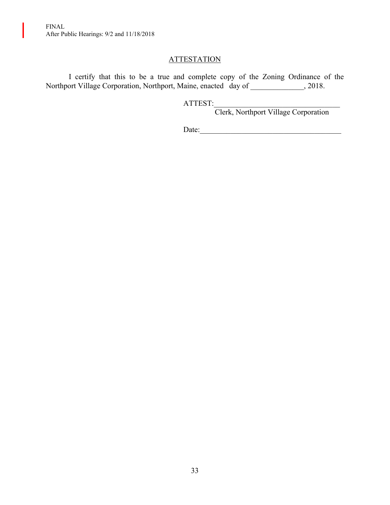FINAL After Public Hearings: 9/2 and 11/18/2018

I

# **ATTESTATION**

I certify that this to be a true and complete copy of the Zoning Ordinance of the Northport Village Corporation, Northport, Maine, enacted day of \_\_\_\_\_\_\_\_\_\_\_\_, 2018.

ATTEST:

Clerk, Northport Village Corporation

Date:\_\_\_\_\_\_\_\_\_\_\_\_\_\_\_\_\_\_\_\_\_\_\_\_\_\_\_\_\_\_\_\_\_\_\_\_\_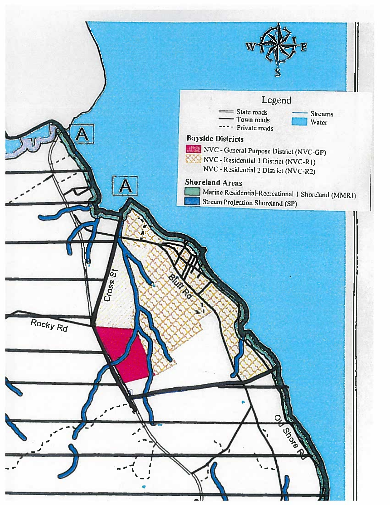